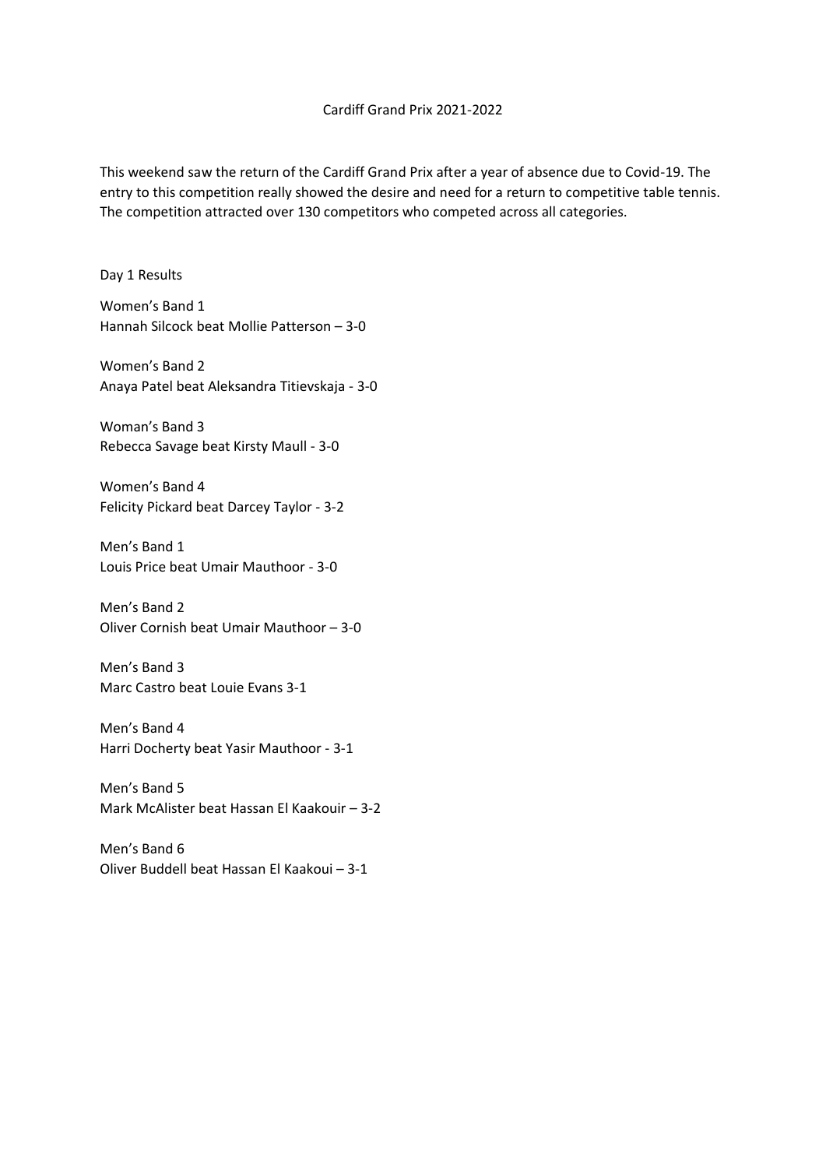This weekend saw the return of the Cardiff Grand Prix after a year of absence due to Covid-19. The entry to this competition really showed the desire and need for a return to competitive table tennis. The competition attracted over 130 competitors who competed across all categories.

Day 1 Results

Women's Band 1 Hannah Silcock beat Mollie Patterson – 3-0

Women's Band 2 Anaya Patel beat Aleksandra Titievskaja - 3-0

Woman's Band 3 Rebecca Savage beat Kirsty Maull - 3-0

Women's Band 4 Felicity Pickard beat Darcey Taylor - 3-2

Men's Band 1 Louis Price beat Umair Mauthoor - 3-0

Men's Band 2 Oliver Cornish beat Umair Mauthoor – 3-0

Men's Band 3 Marc Castro beat Louie Evans 3-1

Men's Band 4 Harri Docherty beat Yasir Mauthoor - 3-1

Men's Band 5 Mark McAlister beat Hassan El Kaakouir – 3-2

Men's Band 6 Oliver Buddell beat Hassan El Kaakoui – 3-1